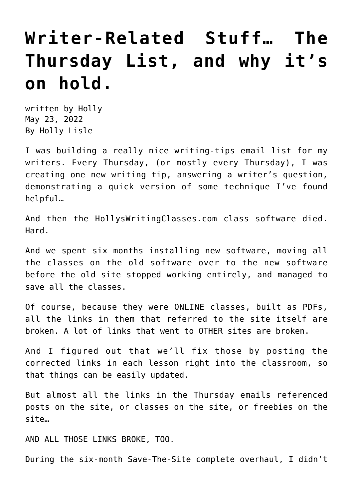## **[Writer-Related Stuff… The](https://hollylisle.com/writer-related-stuff-the-thursday-list-and-why-its-on-hold/) [Thursday List, and why it's](https://hollylisle.com/writer-related-stuff-the-thursday-list-and-why-its-on-hold/) [on hold.](https://hollylisle.com/writer-related-stuff-the-thursday-list-and-why-its-on-hold/)**

written by Holly May 23, 2022 [By Holly Lisle](https://hollylisle.com)

I was building a really nice writing-tips email list for my writers. Every Thursday, (or mostly every Thursday), I was creating one new writing tip, answering a writer's question, demonstrating a quick version of some technique I've found helpful…

And then the HollysWritingClasses.com class software died. Hard.

And we spent six months installing new software, moving all the classes on the old software over to the new software before the old site stopped working entirely, and managed to save all the classes.

Of course, because they were ONLINE classes, built as PDFs, all the links in them that referred to the site itself are broken. A lot of links that went to OTHER sites are broken.

And I figured out that we'll fix those by posting the corrected links in each lesson right into the classroom, so that things can be easily updated.

But almost all the links in the Thursday emails referenced posts on the site, or classes on the site, or freebies on the site…

AND ALL THOSE LINKS BROKE, TOO.

During the six-month Save-The-Site complete overhaul, I didn't